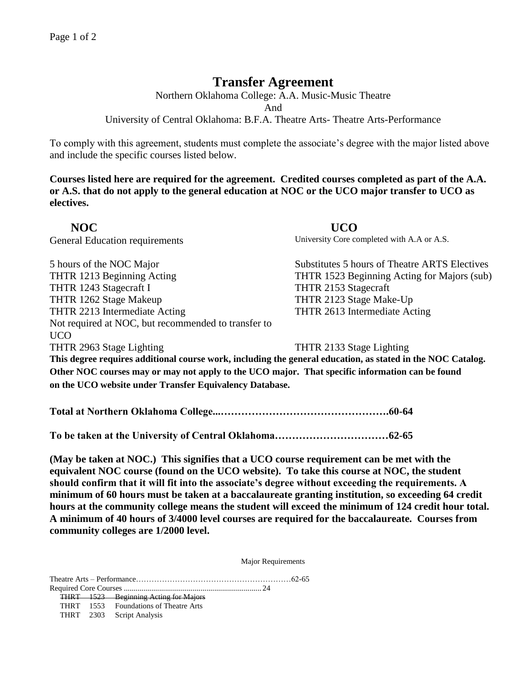## **Transfer Agreement**

Northern Oklahoma College: A.A. Music-Music Theatre And

University of Central Oklahoma: B.F.A. Theatre Arts- Theatre Arts-Performance

To comply with this agreement, students must complete the associate's degree with the major listed above and include the specific courses listed below.

**Courses listed here are required for the agreement. Credited courses completed as part of the A.A. or A.S. that do not apply to the general education at NOC or the UCO major transfer to UCO as electives.**

 **NOC UCO**  General Education requirements University Core completed with A.A or A.S. 5 hours of the NOC Major Substitutes 5 hours of Theatre ARTS Electives THTR 1213 Beginning Acting THTR 1523 Beginning Acting for Majors (sub) THTR 1243 Stagecraft I THTR 2153 Stagecraft THTR 1262 Stage Makeup THTR 2123 Stage Make-Up THTR 2213 Intermediate Acting THTR 2613 Intermediate Acting Not required at NOC, but recommended to transfer to UCO THTR 2963 Stage Lighting THTR 2133 Stage Lighting **This degree requires additional course work, including the general education, as stated in the NOC Catalog.**

**Other NOC courses may or may not apply to the UCO major. That specific information can be found on the UCO website under Transfer Equivalency Database.**

**Total at Northern Oklahoma College...………………………………………….60-64**

**To be taken at the University of Central Oklahoma……………………………62-65**

**(May be taken at NOC.) This signifies that a UCO course requirement can be met with the equivalent NOC course (found on the UCO website). To take this course at NOC, the student should confirm that it will fit into the associate's degree without exceeding the requirements. A minimum of 60 hours must be taken at a baccalaureate granting institution, so exceeding 64 credit hours at the community college means the student will exceed the minimum of 124 credit hour total. A minimum of 40 hours of 3/4000 level courses are required for the baccalaureate. Courses from community colleges are 1/2000 level.**

Major Requirements

Theatre Arts – Performance……………………………………………………62-65

Required Core Courses ...................................................................... 24 THRT 1523 Beginning Acting for Majors THRT 1553 Foundations of Theatre Arts THRT 2303 Script Analysis